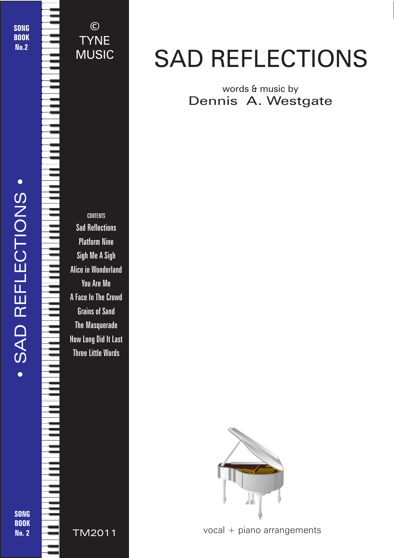SONG **BOOK** No.2

• SAD REFLECTIONS •

SAD REFLECTIONS

CONTENTS Sad Reflections Platform Nine

©

**TYNE** 

MUSIC

Sigh Me A Sigh Alice in Wonderland You Are Me A Face In The Crowd Grains of Sand The Masquerade How Long Did It Last Three Little Words

# SAD REFLECTIONS

words & music by Dennis A. Westgate



TM2011 vocal + piano arrangements

© 2018 - Sad Reflections - TYNE MUSIC - tynemusiclimited@gmail.com

SONG **BOOK** No. 2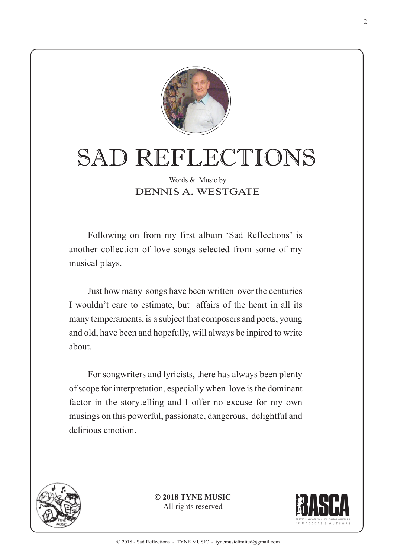

# SAD REFLECTIONS

#### Words & Music by DENNIS A. WESTGATE

Following on from my first album 'Sad Reflections' is another collection of love songs selected from some of my musical plays.

Just how many songs have been written over the centuries I wouldn't care to estimate, but affairs of the heart in all its many temperaments, is a subject that composers and poets, young and old, have been and hopefully, will always be inpired to write about.

For songwriters and lyricists, there has always been plenty of scope for interpretation, especially when love is the dominant factor in the storytelling and I offer no excuse for my own musings on this powerful, passionate, dangerous, delightful and delirious emotion.



**© 2018 TYNE MUSIC** All rights reserved

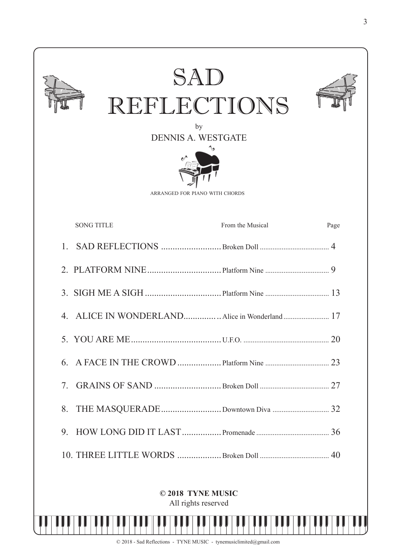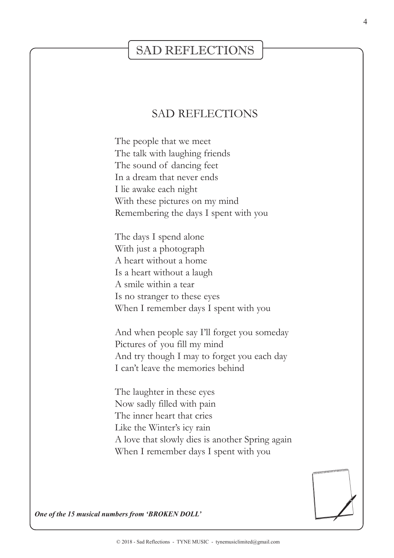### SAD REFLECTIONS

### SAD REFLECTIONS

The people that we meet The talk with laughing friends The sound of dancing feet In a dream that never ends I lie awake each night With these pictures on my mind Remembering the days I spent with you

The days I spend alone With just a photograph A heart without a home Is a heart without a laugh A smile within a tear Is no stranger to these eyes When I remember days I spent with you

And when people say I'll forget you someday Pictures of you fill my mind And try though I may to forget you each day I can't leave the memories behind

The laughter in these eyes Now sadly filled with pain The inner heart that cries Like the Winter's icy rain A love that slowly dies is another Spring again When I remember days I spent with you



*One of the 15 musical numbers from 'BROKEN DOLL'*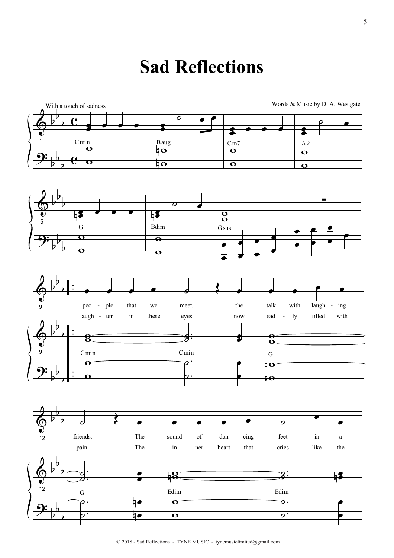## **Sad Reflections**



5